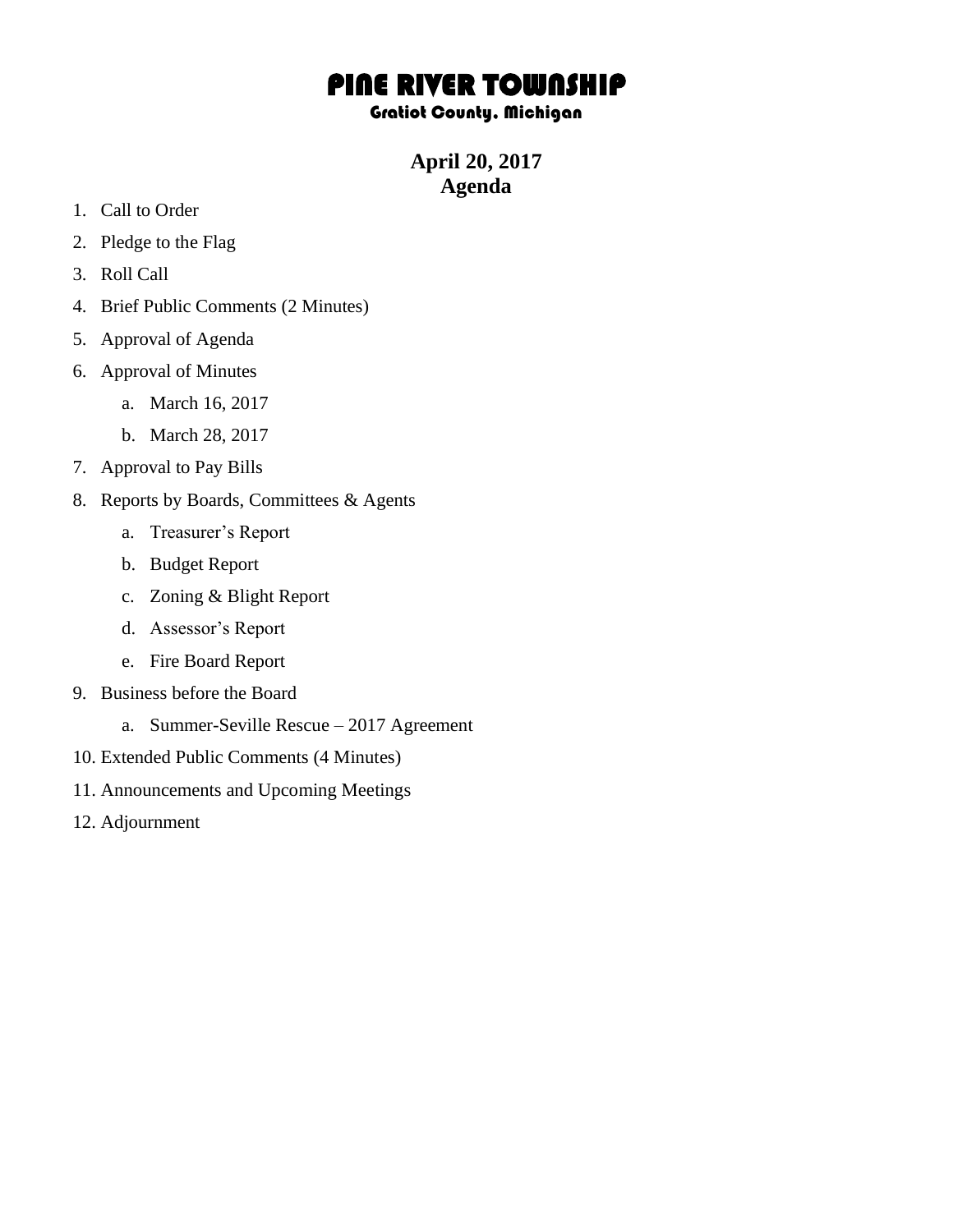## PINE RIVER TOWNSHIP

## Gratiot County, Michigan

**April 20, 2017 Agenda**

- 1. Call to Order
- 2. Pledge to the Flag
- 3. Roll Call
- 4. Brief Public Comments (2 Minutes)
- 5. Approval of Agenda
- 6. Approval of Minutes
	- a. March 16, 2017
	- b. March 28, 2017
- 7. Approval to Pay Bills
- 8. Reports by Boards, Committees & Agents
	- a. Treasurer's Report
	- b. Budget Report
	- c. Zoning & Blight Report
	- d. Assessor's Report
	- e. Fire Board Report
- 9. Business before the Board
	- a. Summer-Seville Rescue 2017 Agreement
- 10. Extended Public Comments (4 Minutes)
- 11. Announcements and Upcoming Meetings
- 12. Adjournment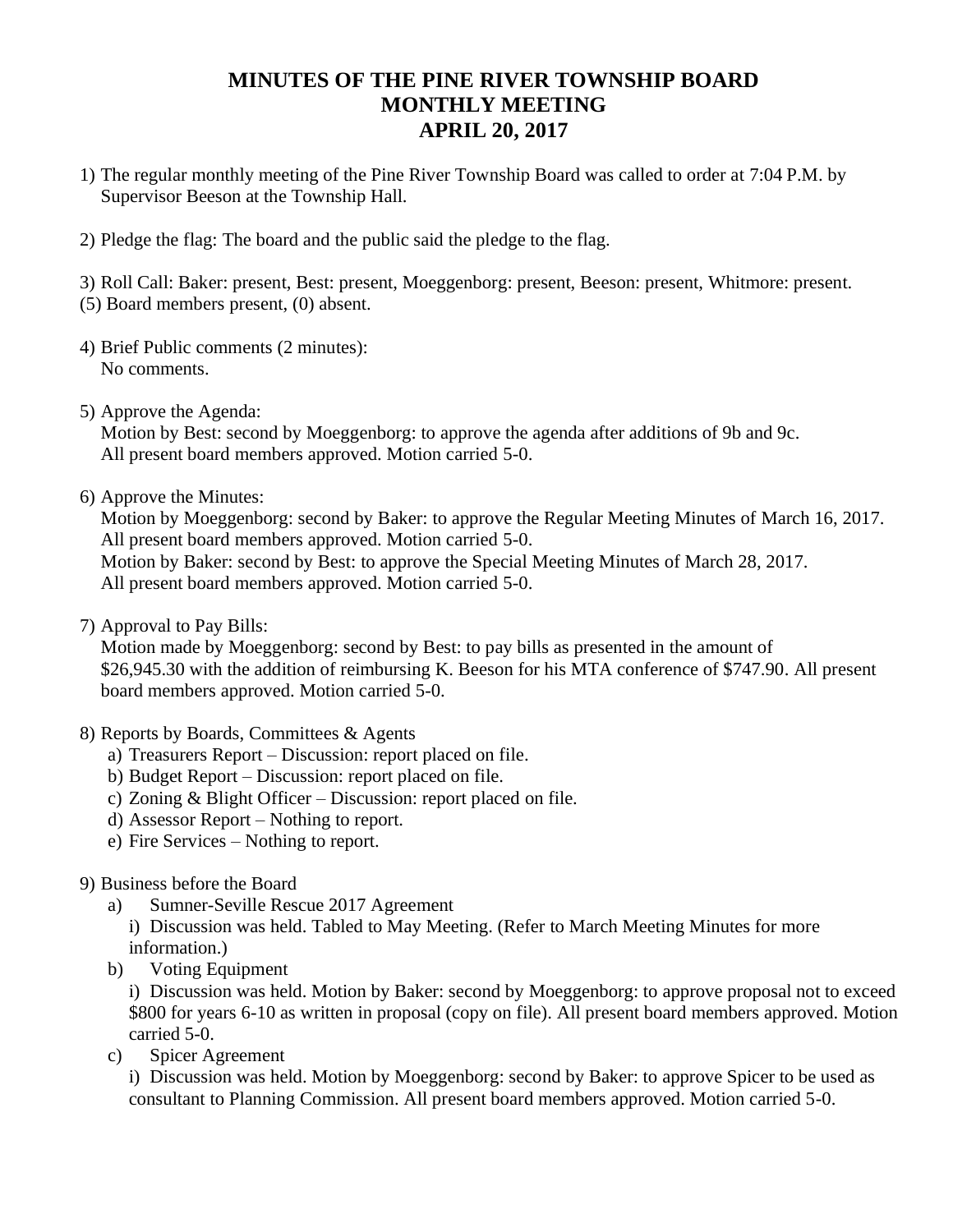## **MINUTES OF THE PINE RIVER TOWNSHIP BOARD MONTHLY MEETING APRIL 20, 2017**

- 1) The regular monthly meeting of the Pine River Township Board was called to order at 7:04 P.M. by Supervisor Beeson at the Township Hall.
- 2) Pledge the flag: The board and the public said the pledge to the flag.

3) Roll Call: Baker: present, Best: present, Moeggenborg: present, Beeson: present, Whitmore: present. (5) Board members present, (0) absent.

- 4) Brief Public comments (2 minutes): No comments.
- 5) Approve the Agenda:

Motion by Best: second by Moeggenborg: to approve the agenda after additions of 9b and 9c. All present board members approved. Motion carried 5-0.

6) Approve the Minutes:

Motion by Moeggenborg: second by Baker: to approve the Regular Meeting Minutes of March 16, 2017. All present board members approved. Motion carried 5-0.

Motion by Baker: second by Best: to approve the Special Meeting Minutes of March 28, 2017. All present board members approved. Motion carried 5-0.

7) Approval to Pay Bills:

Motion made by Moeggenborg: second by Best: to pay bills as presented in the amount of \$26,945.30 with the addition of reimbursing K. Beeson for his MTA conference of \$747.90. All present board members approved. Motion carried 5-0.

- 8) Reports by Boards, Committees & Agents
	- a) Treasurers Report Discussion: report placed on file.
	- b) Budget Report Discussion: report placed on file.
	- c) Zoning & Blight Officer Discussion: report placed on file.
	- d) Assessor Report Nothing to report.
	- e) Fire Services Nothing to report.

## 9) Business before the Board

a) Sumner-Seville Rescue 2017 Agreement

i) Discussion was held. Tabled to May Meeting. (Refer to March Meeting Minutes for more information.)

b) Voting Equipment

i) Discussion was held. Motion by Baker: second by Moeggenborg: to approve proposal not to exceed \$800 for years 6-10 as written in proposal (copy on file). All present board members approved. Motion carried 5-0.

c) Spicer Agreement

i) Discussion was held. Motion by Moeggenborg: second by Baker: to approve Spicer to be used as consultant to Planning Commission. All present board members approved. Motion carried 5-0.